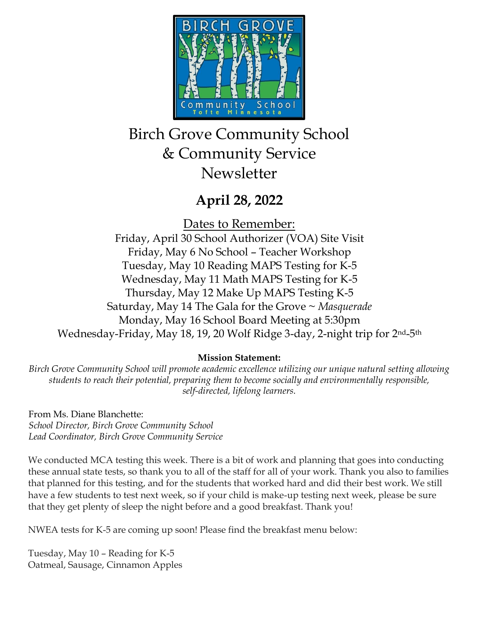

# Birch Grove Community School & Community Service **Newsletter**

## **April 28, 2022**

Dates to Remember:

Friday, April 30 School Authorizer (VOA) Site Visit Friday, May 6 No School – Teacher Workshop Tuesday, May 10 Reading MAPS Testing for K-5 Wednesday, May 11 Math MAPS Testing for K-5 Thursday, May 12 Make Up MAPS Testing K-5 Saturday, May 14 The Gala for the Grove ~ *Masquerade* Monday, May 16 School Board Meeting at 5:30pm Wednesday-Friday, May 18, 19, 20 Wolf Ridge 3-day, 2-night trip for 2nd-5th

### **Mission Statement:**

*Birch Grove Community School will promote academic excellence utilizing our unique natural setting allowing students to reach their potential, preparing them to become socially and environmentally responsible, self-directed, lifelong learners.*

From Ms. Diane Blanchette: *School Director, Birch Grove Community School Lead Coordinator, Birch Grove Community Service*

We conducted MCA testing this week. There is a bit of work and planning that goes into conducting these annual state tests, so thank you to all of the staff for all of your work. Thank you also to families that planned for this testing, and for the students that worked hard and did their best work. We still have a few students to test next week, so if your child is make-up testing next week, please be sure that they get plenty of sleep the night before and a good breakfast. Thank you!

NWEA tests for K-5 are coming up soon! Please find the breakfast menu below:

Tuesday, May 10 – Reading for K-5 Oatmeal, Sausage, Cinnamon Apples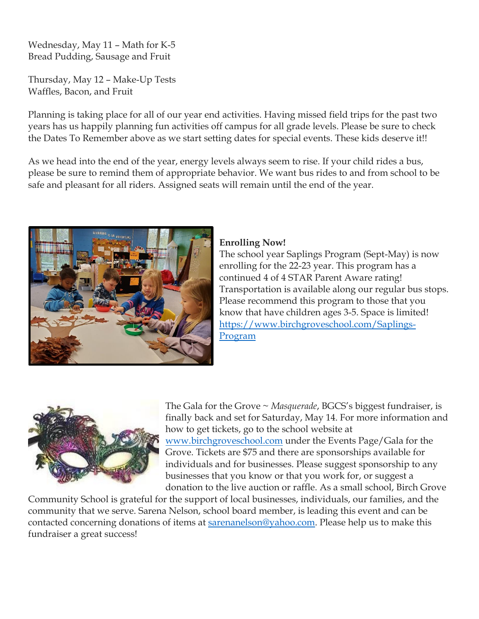Wednesday, May 11 – Math for K-5 Bread Pudding, Sausage and Fruit

Thursday, May 12 – Make-Up Tests Waffles, Bacon, and Fruit

Planning is taking place for all of our year end activities. Having missed field trips for the past two years has us happily planning fun activities off campus for all grade levels. Please be sure to check the Dates To Remember above as we start setting dates for special events. These kids deserve it!!

As we head into the end of the year, energy levels always seem to rise. If your child rides a bus, please be sure to remind them of appropriate behavior. We want bus rides to and from school to be safe and pleasant for all riders. Assigned seats will remain until the end of the year.



#### **Enrolling Now!**

The school year Saplings Program (Sept-May) is now enrolling for the 22-23 year. This program has a continued 4 of 4 STAR Parent Aware rating! Transportation is available along our regular bus stops. Please recommend this program to those that you know that have children ages 3-5. Space is limited! [https://www.birchgroveschool.com/Saplings-](https://www.birchgroveschool.com/Saplings-Program)[Program](https://www.birchgroveschool.com/Saplings-Program)



The Gala for the Grove ~ *Masquerade*, BGCS's biggest fundraiser, is finally back and set for Saturday, May 14. For more information and how to get tickets, go to the school website at [www.birchgroveschool.com](http://www.birchgroveschool.com/) under the Events Page/Gala for the Grove. Tickets are \$75 and there are sponsorships available for individuals and for businesses. Please suggest sponsorship to any businesses that you know or that you work for, or suggest a donation to the live auction or raffle. As a small school, Birch Grove

Community School is grateful for the support of local businesses, individuals, our families, and the community that we serve. Sarena Nelson, school board member, is leading this event and can be contacted concerning donations of items at [sarenanelson@yahoo.com.](mailto:sarenanelson@yahoo.com) Please help us to make this fundraiser a great success!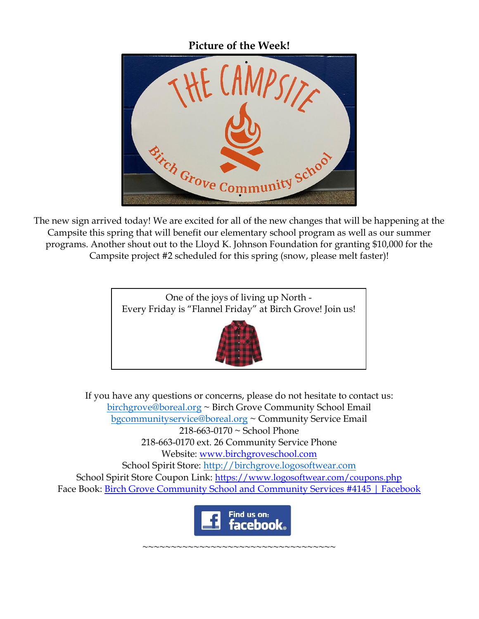**Picture of the Week!**



The new sign arrived today! We are excited for all of the new changes that will be happening at the Campsite this spring that will benefit our elementary school program as well as our summer programs. Another shout out to the Lloyd K. Johnson Foundation for granting \$10,000 for the Campsite project #2 scheduled for this spring (snow, please melt faster)!



If you have any questions or concerns, please do not hesitate to contact us: [birchgrove@boreal.org](mailto:birchgrove@boreal.org) ~ Birch Grove Community School Email [bgcommunityservice@boreal.org](mailto:bgcommunityservice@boreal.org) ~ Community Service Email 218-663-0170 ~ School Phone 218-663-0170 ext. 26 Community Service Phone Website: [www.birchgroveschool.com](http://www.birchgroveschool.com/) School Spirit Store: [http://birchgrove.logosoftwear.com](http://birchgrove.logosoftwear.com/) School Spirit Store Coupon Link: [https://www.logosoftwear.com/coupons.php](https://l.facebook.com/l.php?u=https%3A%2F%2Fwww.logosoftwear.com%2Fcoupons.php%3Ffbclid%3DIwAR2Xqd17qslymSELe8_VeVgOevR-QsZi3Qz3QuYTsWuNO2GLWjqyiQ62ICs&h=AT2z_Mc6YstEexFQ0i5rW-HO4fVUjQWMG_mHzx48fuw3yADOJuSHwXhN9MQfmKFDZxVhPbfBgLy6FDYrV0SZiN-UApxljZJM83a99ykkj6B8CMjcjkNw3W_Q7esHr8EHSDY6&__tn__=-UK-R&c%5b0%5d=AT3hJTZO-D9y88WW55bnY7TKagKxE33cxX646tzqglmwc95PJrJ3IYR9biVvFaLzk80QBN6o7R5n96uR3pNcGUR2nS6jY3yHy4SJEISdB3KoMVhV6OckeZsezEKQYZjMowKojD5TLi5DzP_AyBUXCERIZcNHwoDXS9DzEjlTMuD3pg) Face Book: [Birch Grove Community School and Community Services #4145 | Facebook](https://www.facebook.com/birchgrovecommunityschool/)



~~~~~~~~~~~~~~~~~~~~~~~~~~~~~~~~~~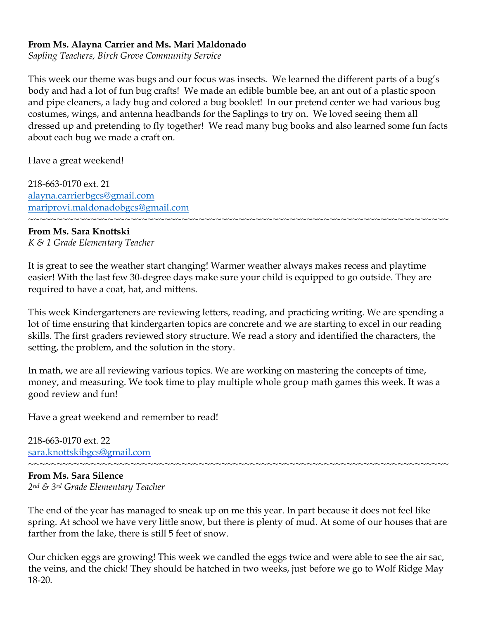#### **From Ms. Alayna Carrier and Ms. Mari Maldonado**

*Sapling Teachers, Birch Grove Community Service* 

This week our theme was bugs and our focus was insects. We learned the different parts of a bug's body and had a lot of fun bug crafts! We made an edible bumble bee, an ant out of a plastic spoon and pipe cleaners, a lady bug and colored a bug booklet! In our pretend center we had various bug costumes, wings, and antenna headbands for the Saplings to try on. We loved seeing them all dressed up and pretending to fly together! We read many bug books and also learned some fun facts about each bug we made a craft on.

Have a great weekend!

218-663-0170 ext. 21 [alayna.carrierbgcs@gmail.com](mailto:alayna.carrierbgcs@gmail.com) [mariprovi.maldonadobgcs@gmail.com](mailto:mariprovi.maldonadobgcs@gmail.com)

#### **From Ms. Sara Knottski** *K & 1 Grade Elementary Teacher*

It is great to see the weather start changing! Warmer weather always makes recess and playtime easier! With the last few 30-degree days make sure your child is equipped to go outside. They are required to have a coat, hat, and mittens.

~~~~~~~~~~~~~~~~~~~~~~~~~~~~~~~~~~~~~~~~~~~~~~~~~~~~~~~~~~~~~~~~~~~~~~~~~~

This week Kindergarteners are reviewing letters, reading, and practicing writing. We are spending a lot of time ensuring that kindergarten topics are concrete and we are starting to excel in our reading skills. The first graders reviewed story structure. We read a story and identified the characters, the setting, the problem, and the solution in the story.

In math, we are all reviewing various topics. We are working on mastering the concepts of time, money, and measuring. We took time to play multiple whole group math games this week. It was a good review and fun!

Have a great weekend and remember to read!

218-663-0170 ext. 22 [sara.knottskibgcs@gmail.com](mailto:sara.knottskibgcs@gmail.com)

~~~~~~~~~~~~~~~~~~~~~~~~~~~~~~~~~~~~~~~~~~~~~~~~~~~~~~~~~~~~~~~~~~~~~~~~~~ **From Ms. Sara Silence**  *2nd & 3rd Grade Elementary Teacher*

The end of the year has managed to sneak up on me this year. In part because it does not feel like spring. At school we have very little snow, but there is plenty of mud. At some of our houses that are farther from the lake, there is still 5 feet of snow.

Our chicken eggs are growing! This week we candled the eggs twice and were able to see the air sac, the veins, and the chick! They should be hatched in two weeks, just before we go to Wolf Ridge May 18-20.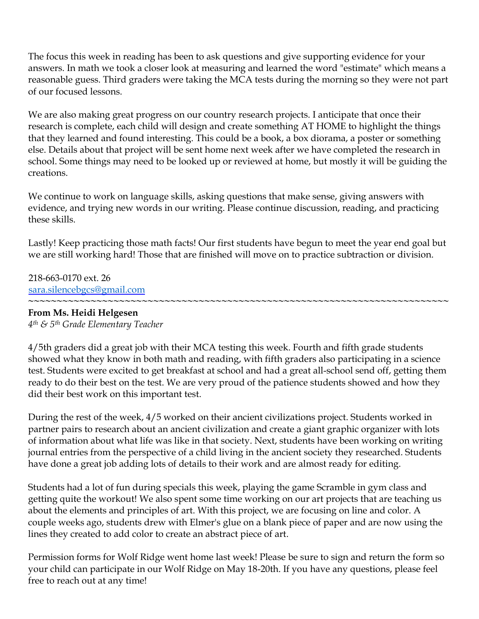The focus this week in reading has been to ask questions and give supporting evidence for your answers. In math we took a closer look at measuring and learned the word "estimate" which means a reasonable guess. Third graders were taking the MCA tests during the morning so they were not part of our focused lessons.

We are also making great progress on our country research projects. I anticipate that once their research is complete, each child will design and create something AT HOME to highlight the things that they learned and found interesting. This could be a book, a box diorama, a poster or something else. Details about that project will be sent home next week after we have completed the research in school. Some things may need to be looked up or reviewed at home, but mostly it will be guiding the creations.

We continue to work on language skills, asking questions that make sense, giving answers with evidence, and trying new words in our writing. Please continue discussion, reading, and practicing these skills.

Lastly! Keep practicing those math facts! Our first students have begun to meet the year end goal but we are still working hard! Those that are finished will move on to practice subtraction or division.

218-663-0170 ext. 26 [sara.silencebgcs@gmail.com](mailto:sara.silencebgcs@gmail.com)

#### **~~~~~~~~~~~~~~~~~~~~~~~~~~~~~~~~~~~~~~~~~~~~~~~~~~~~~~~~~~~~~~~~~~~~~~~~~~ From Ms. Heidi Helgesen**

*4th & 5th Grade Elementary Teacher*

4/5th graders did a great job with their MCA testing this week. Fourth and fifth grade students showed what they know in both math and reading, with fifth graders also participating in a science test. Students were excited to get breakfast at school and had a great all-school send off, getting them ready to do their best on the test. We are very proud of the patience students showed and how they did their best work on this important test.

During the rest of the week, 4/5 worked on their ancient civilizations project. Students worked in partner pairs to research about an ancient civilization and create a giant graphic organizer with lots of information about what life was like in that society. Next, students have been working on writing journal entries from the perspective of a child living in the ancient society they researched. Students have done a great job adding lots of details to their work and are almost ready for editing.

Students had a lot of fun during specials this week, playing the game Scramble in gym class and getting quite the workout! We also spent some time working on our art projects that are teaching us about the elements and principles of art. With this project, we are focusing on line and color. A couple weeks ago, students drew with Elmer's glue on a blank piece of paper and are now using the lines they created to add color to create an abstract piece of art.

Permission forms for Wolf Ridge went home last week! Please be sure to sign and return the form so your child can participate in our Wolf Ridge on May 18-20th. If you have any questions, please feel free to reach out at any time!